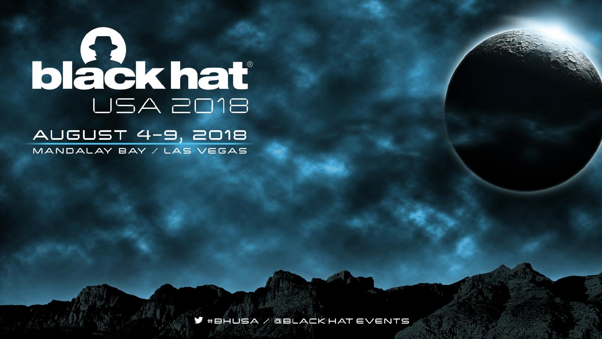# blackhat USA 2018

#### AUGUST 4-9, 2018 MANDALAY BAY / LAS VEGAS

 $\blacktriangleright$  #BHUSA / QBLACK HAT EVENTS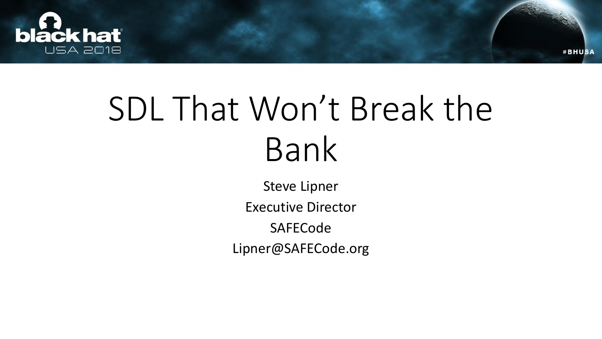

### SDL That Won't Break the Bank

**#BHUSA** 

Steve Lipner Executive Director SAFECode Lipner@SAFECode.org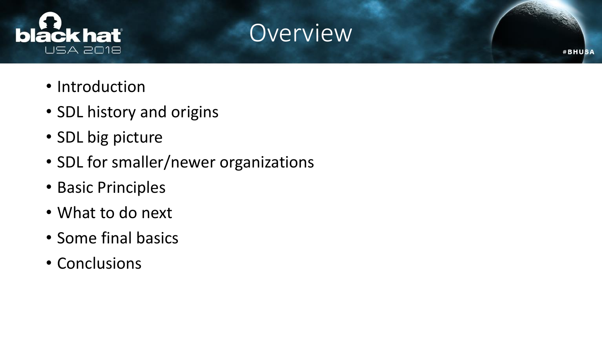



- Introduction
- SDL history and origins
- SDL big picture
- SDL for smaller/newer organizations
- Basic Principles
- What to do next
- Some final basics
- Conclusions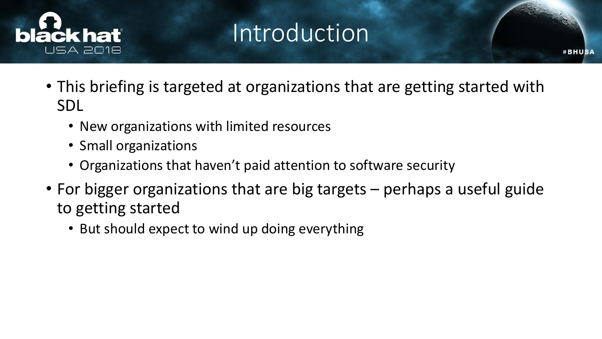

#### Introduction

- This briefing is targeted at organizations that are getting started with SDL
	- New organizations with limited resources
	- Small organizations
	- Organizations that haven't paid attention to software security
- For bigger organizations that are big targets perhaps a useful guide to getting started
	- But should expect to wind up doing everything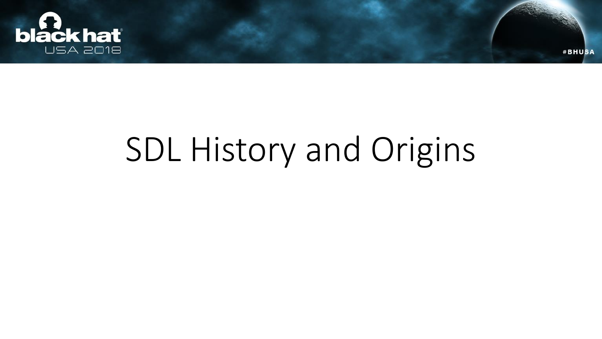

## SDL History and Origins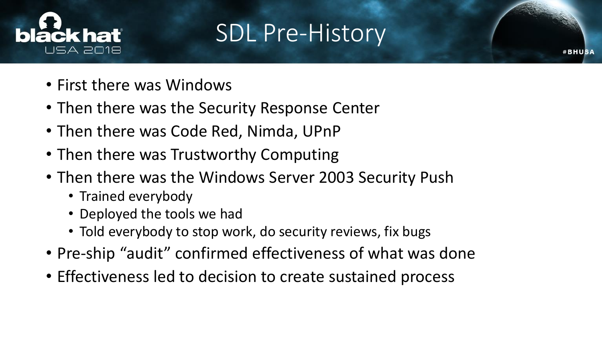

#### SDL Pre-History

- First there was Windows
- Then there was the Security Response Center
- Then there was Code Red, Nimda, UPnP
- Then there was Trustworthy Computing
- Then there was the Windows Server 2003 Security Push
	- Trained everybody
	- Deployed the tools we had
	- Told everybody to stop work, do security reviews, fix bugs
- Pre-ship "audit" confirmed effectiveness of what was done
- Effectiveness led to decision to create sustained process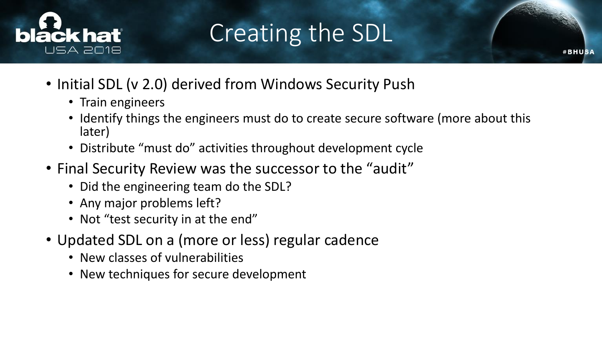

#### Creating the SDL

- Initial SDL (v 2.0) derived from Windows Security Push
	- Train engineers
	- Identify things the engineers must do to create secure software (more about this later)
	- Distribute "must do" activities throughout development cycle
- Final Security Review was the successor to the "audit"
	- Did the engineering team do the SDL?
	- Any major problems left?
	- Not "test security in at the end"
- Updated SDL on a (more or less) regular cadence
	- New classes of vulnerabilities
	- New techniques for secure development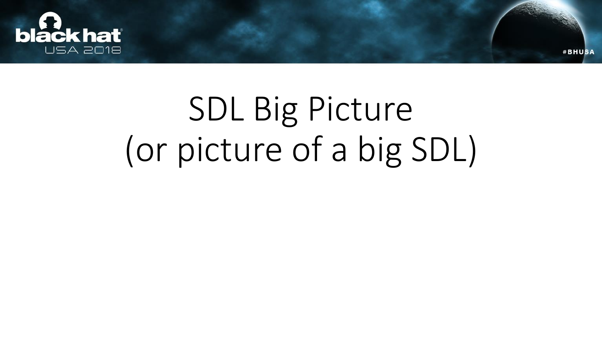

## SDL Big Picture (or picture of a big SDL)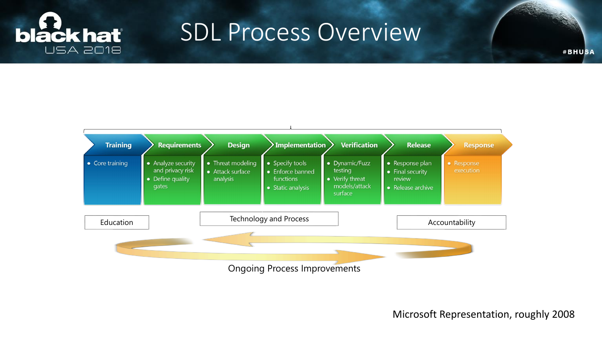

#### SDL Process Overview



Microsoft Representation, roughly 2008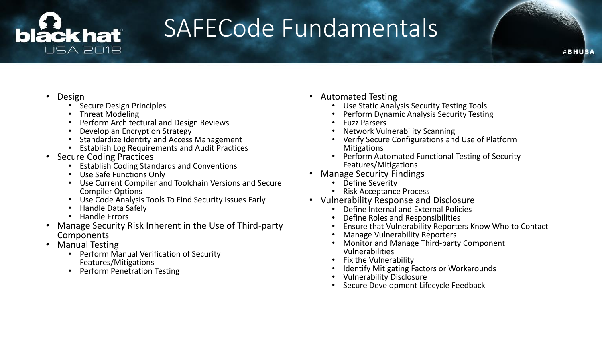#### láck hať **USA 2018**

#### SAFECode Fundamentals

- Design
	- Secure Design Principles
	- Threat Modeling
	- Perform Architectural and Design Reviews
	- Develop an Encryption Strategy
	- Standardize Identity and Access Management
	- Establish Log Requirements and Audit Practices
- Secure Coding Practices
	- Establish Coding Standards and Conventions
	- Use Safe Functions Only
	- Use Current Compiler and Toolchain Versions and Secure Compiler Options
	- Use Code Analysis Tools To Find Security Issues Early
	- Handle Data Safely
	- Handle Errors
- Manage Security Risk Inherent in the Use of Third-party Components
- Manual Testing
	- Perform Manual Verification of Security Features/Mitigations
	- Perform Penetration Testing
- Automated Testing
	- Use Static Analysis Security Testing Tools
	- Perform Dynamic Analysis Security Testing
	- Fuzz Parsers
	- Network Vulnerability Scanning
	- Verify Secure Configurations and Use of Platform **Mitigations**
	- Perform Automated Functional Testing of Security Features/Mitigations
- Manage Security Findings
	- **Define Severity**
	- Risk Acceptance Process
- Vulnerability Response and Disclosure
	- Define Internal and External Policies
	- Define Roles and Responsibilities
	- Ensure that Vulnerability Reporters Know Who to Contact
	- Manage Vulnerability Reporters
	- Monitor and Manage Third-party Component Vulnerabilities
	- Fix the Vulnerability
	- **Identify Mitigating Factors or Workarounds**
	- Vulnerability Disclosure
	- Secure Development Lifecycle Feedback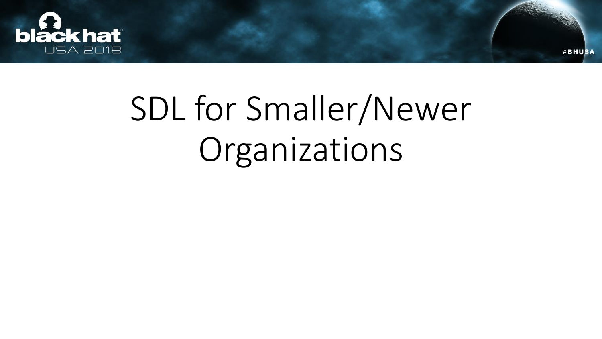

## SDL for Smaller/Newer Organizations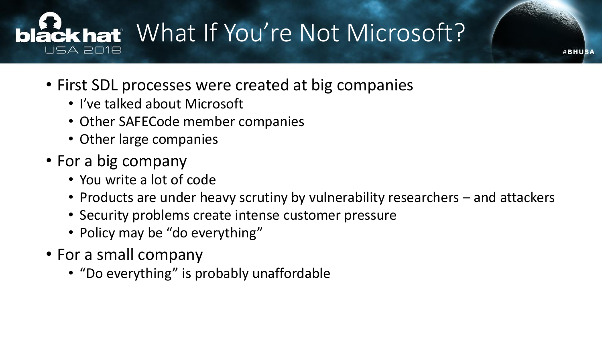#### lack hat What If You're Not Microsoft? USA 2018

- First SDL processes were created at big companies
	- I've talked about Microsoft
	- Other SAFECode member companies
	- Other large companies
- For a big company
	- You write a lot of code
	- Products are under heavy scrutiny by vulnerability researchers and attackers

- Security problems create intense customer pressure
- Policy may be "do everything"
- For a small company
	- "Do everything" is probably unaffordable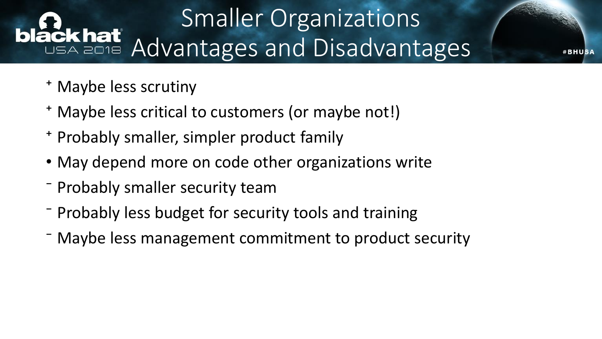### Smaller Organizations ackhat Advantages and Disadvantages

- ⁺ Maybe less scrutiny
- ⁺ Maybe less critical to customers (or maybe not!)
- ⁺ Probably smaller, simpler product family
- May depend more on code other organizations write
- ⁻ Probably smaller security team
- ⁻ Probably less budget for security tools and training
- ⁻ Maybe less management commitment to product security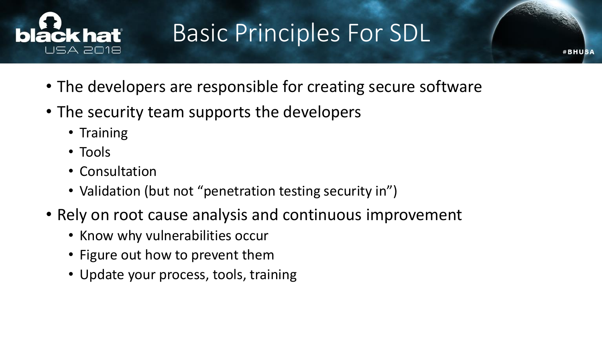

#### Basic Principles For SDL

- The developers are responsible for creating secure software
- The security team supports the developers
	- Training
	- Tools
	- Consultation
	- Validation (but not "penetration testing security in")
- Rely on root cause analysis and continuous improvement
	- Know why vulnerabilities occur
	- Figure out how to prevent them
	- Update your process, tools, training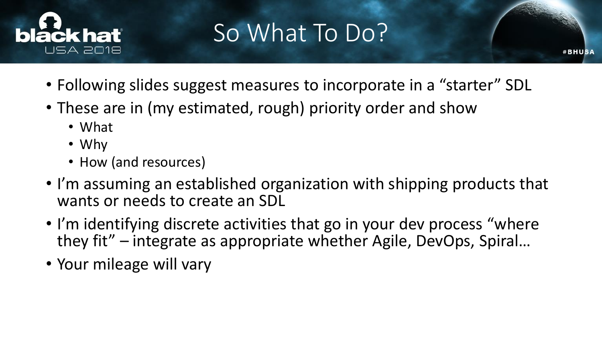

### So What To Do?

- Following slides suggest measures to incorporate in a "starter" SDL
- These are in (my estimated, rough) priority order and show
	- What
	- Why
	- How (and resources)
- I'm assuming an established organization with shipping products that wants or needs to create an SDL
- I'm identifying discrete activities that go in your dev process "where they fit" – integrate as appropriate whether Agile, DevOps, Spiral…
- Your mileage will vary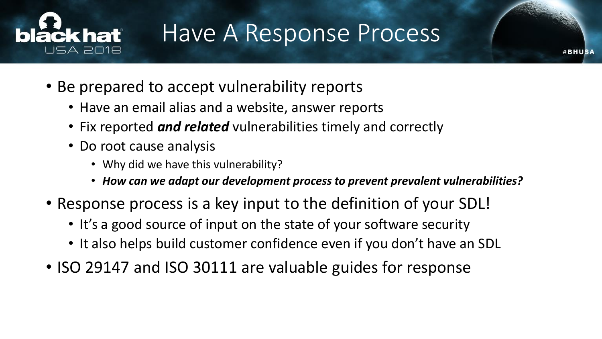

#### Have A Response Process

- Be prepared to accept vulnerability reports
	- Have an email alias and a website, answer reports
	- Fix reported *and related* vulnerabilities timely and correctly
	- Do root cause analysis
		- Why did we have this vulnerability?
		- *How can we adapt our development process to prevent prevalent vulnerabilities?*
- Response process is a key input to the definition of your SDL!
	- It's a good source of input on the state of your software security
	- It also helps build customer confidence even if you don't have an SDL
- ISO 29147 and ISO 30111 are valuable guides for response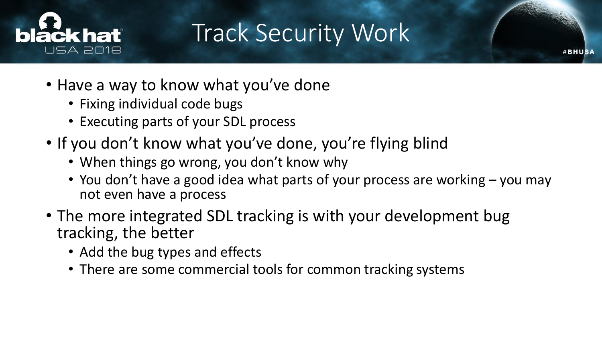

#### Track Security Work

- Have a way to know what you've done
	- Fixing individual code bugs
	- Executing parts of your SDL process
- If you don't know what you've done, you're flying blind
	- When things go wrong, you don't know why
	- You don't have a good idea what parts of your process are working you may not even have a process
- The more integrated SDL tracking is with your development bug tracking, the better
	- Add the bug types and effects
	- There are some commercial tools for common tracking systems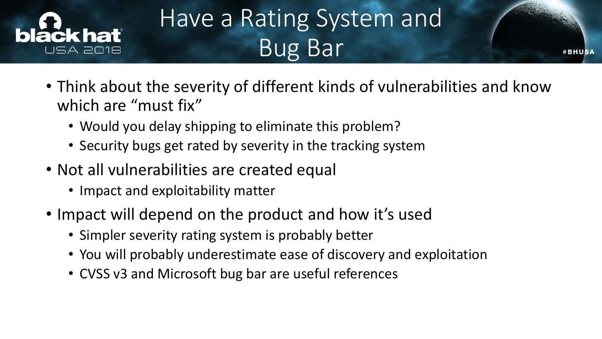

### Have a Rating System and Bug Bar

- Think about the severity of different kinds of vulnerabilities and know which are "must fix"
	- Would you delay shipping to eliminate this problem?
	- Security bugs get rated by severity in the tracking system
- Not all vulnerabilities are created equal
	- Impact and exploitability matter
- Impact will depend on the product and how it's used
	- Simpler severity rating system is probably better
	- You will probably underestimate ease of discovery and exploitation
	- CVSS v3 and Microsoft bug bar are useful references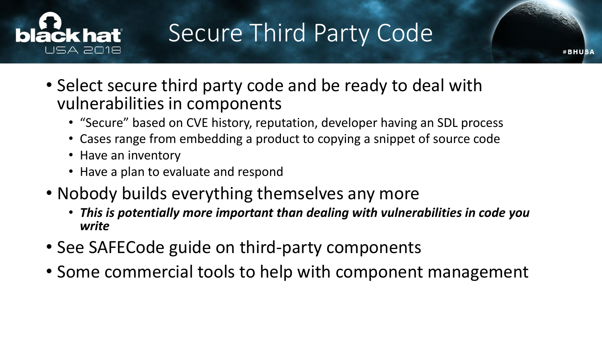

#### Secure Third Party Code

- Select secure third party code and be ready to deal with vulnerabilities in components
	- "Secure" based on CVE history, reputation, developer having an SDL process
	- Cases range from embedding a product to copying a snippet of source code
	- Have an inventory
	- Have a plan to evaluate and respond
- Nobody builds everything themselves any more
	- *This is potentially more important than dealing with vulnerabilities in code you write*
- See SAFECode guide on third-party components
- Some commercial tools to help with component management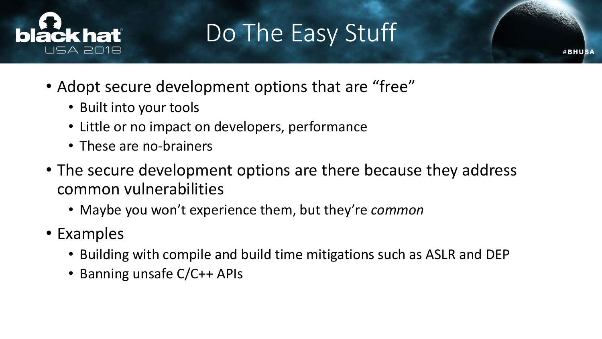

#### Do The Easy Stuff

- Adopt secure development options that are "free"
	- Built into your tools
	- Little or no impact on developers, performance
	- These are no-brainers
- The secure development options are there because they address common vulnerabilities
	- Maybe you won't experience them, but they're *common*
- Examples
	- Building with compile and build time mitigations such as ASLR and DEP
	- Banning unsafe C/C++ APIs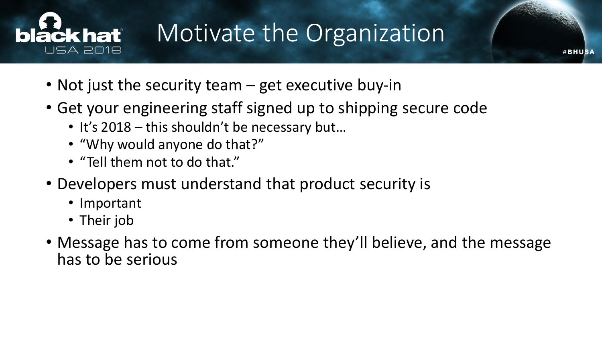

#### Motivate the Organization

- Not just the security team get executive buy-in
- Get your engineering staff signed up to shipping secure code
	- It's 2018 this shouldn't be necessary but...
	- "Why would anyone do that?"
	- "Tell them not to do that."
- Developers must understand that product security is
	- Important
	- Their job
- Message has to come from someone they'll believe, and the message has to be serious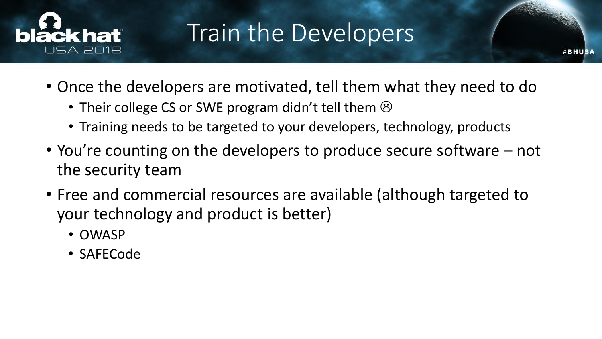

#### Train the Developers

- Once the developers are motivated, tell them what they need to do
	- Their college CS or SWE program didn't tell them  $\odot$
	- Training needs to be targeted to your developers, technology, products
- You're counting on the developers to produce secure software not the security team
- Free and commercial resources are available (although targeted to your technology and product is better)
	- OWASP
	- SAFECode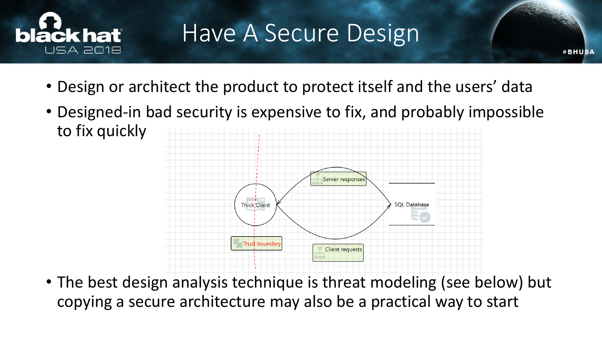

#### Have A Secure Design

**#BHUSA** 

- Design or architect the product to protect itself and the users' data
- Designed-in bad security is expensive to fix, and probably impossible to fix quickly



• The best design analysis technique is threat modeling (see below) but copying a secure architecture may also be a practical way to start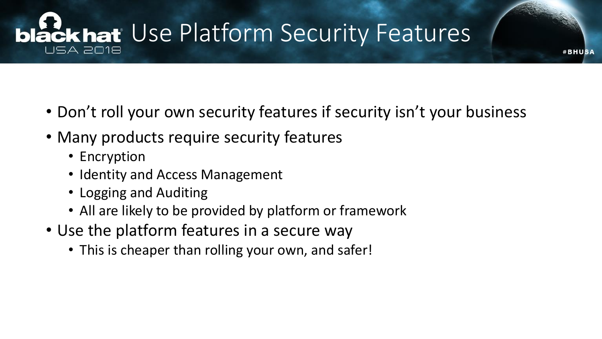#### **black hat** Use Platform Security Features USA 2018

• Don't roll your own security features if security isn't your business

- Many products require security features
	- Encryption
	- Identity and Access Management
	- Logging and Auditing
	- All are likely to be provided by platform or framework
- Use the platform features in a secure way
	- This is cheaper than rolling your own, and safer!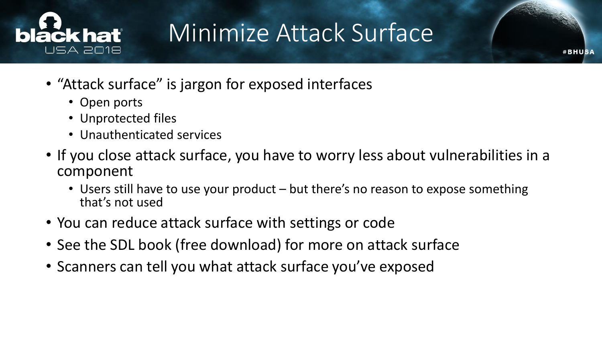

#### Minimize Attack Surface

- "Attack surface" is jargon for exposed interfaces
	- Open ports
	- Unprotected files
	- Unauthenticated services
- If you close attack surface, you have to worry less about vulnerabilities in a component
	- Users still have to use your product but there's no reason to expose something that's not used
- You can reduce attack surface with settings or code
- See the SDL book (free download) for more on attack surface
- Scanners can tell you what attack surface you've exposed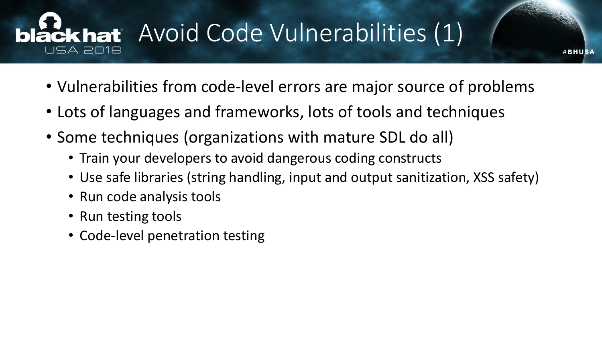#### Lackhat Avoid Code Vulnerabilities (1) JSA 2018

• Vulnerabilities from code-level errors are major source of problems

- Lots of languages and frameworks, lots of tools and techniques
- Some techniques (organizations with mature SDL do all)
	- Train your developers to avoid dangerous coding constructs
	- Use safe libraries (string handling, input and output sanitization, XSS safety)
	- Run code analysis tools
	- Run testing tools
	- Code-level penetration testing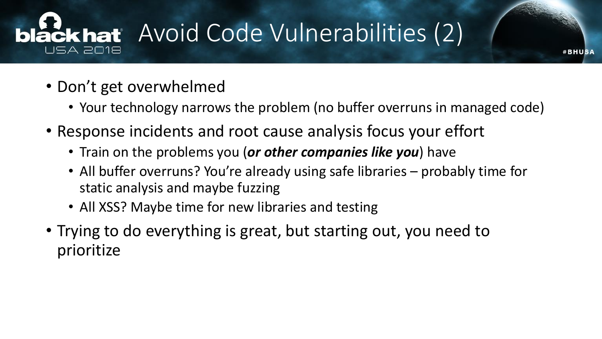#### Lackhat Avoid Code Vulnerabilities (2) USA 2018

- Don't get overwhelmed
	- Your technology narrows the problem (no buffer overruns in managed code)

- Response incidents and root cause analysis focus your effort
	- Train on the problems you (*or other companies like you*) have
	- All buffer overruns? You're already using safe libraries probably time for static analysis and maybe fuzzing
	- All XSS? Maybe time for new libraries and testing
- Trying to do everything is great, but starting out, you need to prioritize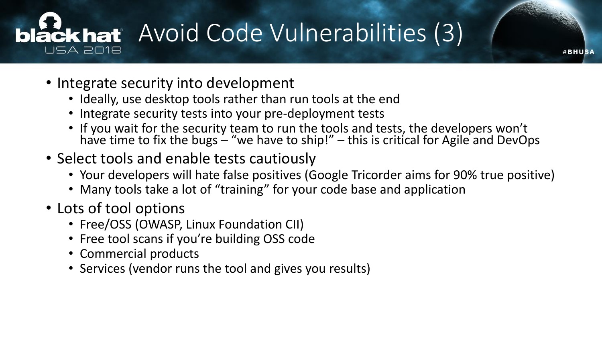# **bláckhat** Avoid Code Vulnerabilities (3)

- Integrate security into development
	- Ideally, use desktop tools rather than run tools at the end
	- Integrate security tests into your pre-deployment tests
	- If you wait for the security team to run the tools and tests, the developers won't have time to fix the bugs – "we have to ship!" – this is critical for Agile and DevOps

- Select tools and enable tests cautiously
	- Your developers will hate false positives (Google Tricorder aims for 90% true positive)
	- Many tools take a lot of "training" for your code base and application
- Lots of tool options
	- Free/OSS (OWASP, Linux Foundation CII)
	- Free tool scans if you're building OSS code
	- Commercial products
	- Services (vendor runs the tool and gives you results)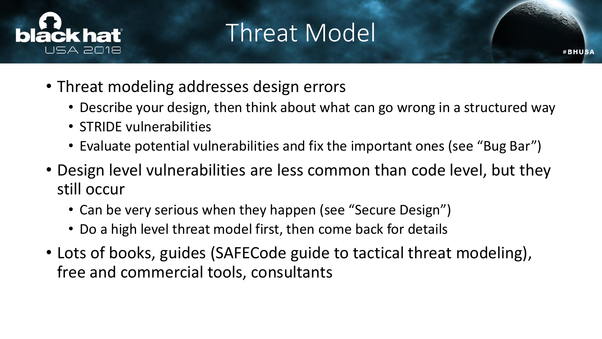

#### Threat Model

- Threat modeling addresses design errors
	- Describe your design, then think about what can go wrong in a structured way

- STRIDE vulnerabilities
- Evaluate potential vulnerabilities and fix the important ones (see "Bug Bar")
- Design level vulnerabilities are less common than code level, but they still occur
	- Can be very serious when they happen (see "Secure Design")
	- Do a high level threat model first, then come back for details
- Lots of books, guides (SAFECode guide to tactical threat modeling), free and commercial tools, consultants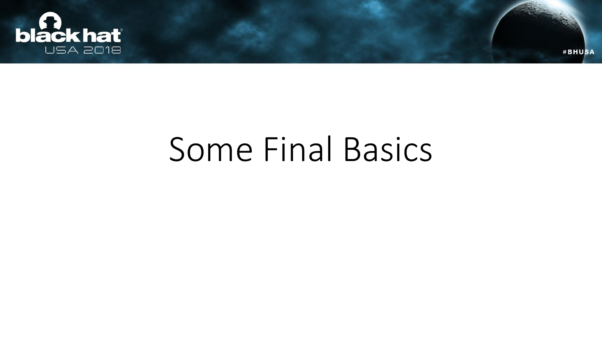

### Some Final Basics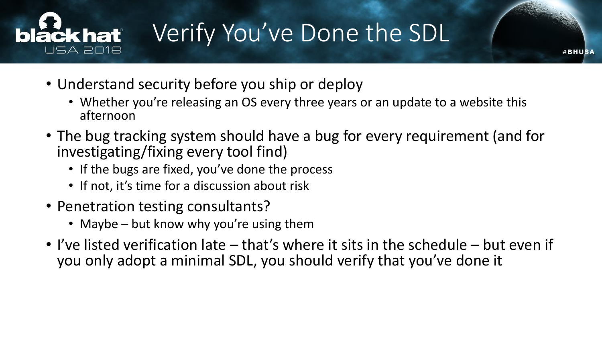

### Verify You've Done the SDL

- Understand security before you ship or deploy
	- Whether you're releasing an OS every three years or an update to a website this afternoon
- The bug tracking system should have a bug for every requirement (and for investigating/fixing every tool find)
	- If the bugs are fixed, you've done the process
	- If not, it's time for a discussion about risk
- Penetration testing consultants?
	- Maybe but know why you're using them
- I've listed verification late that's where it sits in the schedule but even if you only adopt a minimal SDL, you should verify that you've done it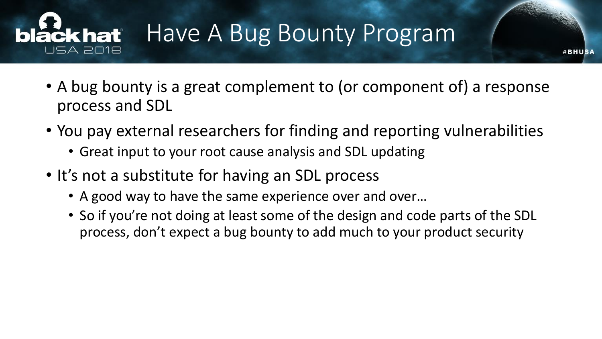#### Have A Bug Bounty Program **čkhať** ISA 2018

• A bug bounty is a great complement to (or component of) a response process and SDL

- You pay external researchers for finding and reporting vulnerabilities
	- Great input to your root cause analysis and SDL updating
- It's not a substitute for having an SDL process
	- A good way to have the same experience over and over…
	- So if you're not doing at least some of the design and code parts of the SDL process, don't expect a bug bounty to add much to your product security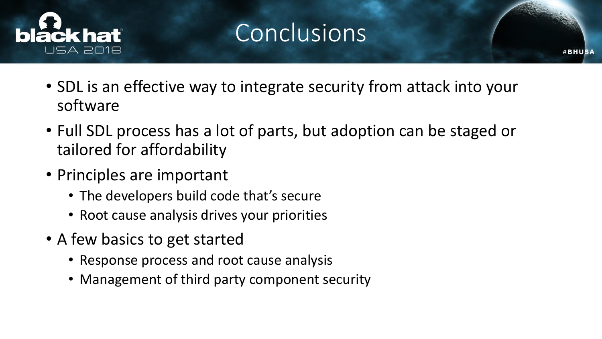

#### **Conclusions**

- SDL is an effective way to integrate security from attack into your software
- Full SDL process has a lot of parts, but adoption can be staged or tailored for affordability
- Principles are important
	- The developers build code that's secure
	- Root cause analysis drives your priorities
- A few basics to get started
	- Response process and root cause analysis
	- Management of third party component security